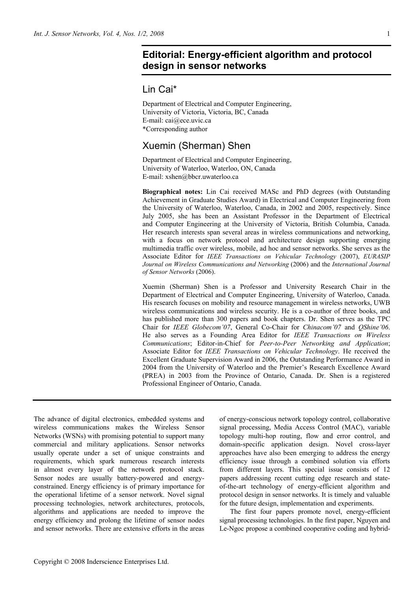## **Editorial: Energy-efficient algorithm and protocol design in sensor networks**

## Lin Cai\*

Department of Electrical and Computer Engineering, University of Victoria, Victoria, BC, Canada E-mail: cai@ece.uvic.ca \*Corresponding author

## Xuemin (Sherman) Shen

Department of Electrical and Computer Engineering, University of Waterloo, Waterloo, ON, Canada E-mail: xshen@bbcr.uwaterloo.ca

**Biographical notes:** Lin Cai received MASc and PhD degrees (with Outstanding Achievement in Graduate Studies Award) in Electrical and Computer Engineering from the University of Waterloo, Waterloo, Canada, in 2002 and 2005, respectively. Since July 2005, she has been an Assistant Professor in the Department of Electrical and Computer Engineering at the University of Victoria, British Columbia, Canada. Her research interests span several areas in wireless communications and networking, with a focus on network protocol and architecture design supporting emerging multimedia traffic over wireless, mobile, ad hoc and sensor networks. She serves as the Associate Editor for *IEEE Transactions on Vehicular Technology* (2007), *EURASIP Journal on Wireless Communications and Networking* (2006) and the *International Journal of Sensor Networks* (2006).

Xuemin (Sherman) Shen is a Professor and University Research Chair in the Department of Electrical and Computer Engineering, University of Waterloo, Canada. His research focuses on mobility and resource management in wireless networks, UWB wireless communications and wireless security. He is a co-author of three books, and has published more than 300 papers and book chapters. Dr. Shen serves as the TPC Chair for *IEEE Globecom'07*, General Co-Chair for *Chinacom'07* and *QShine'06*. He also serves as a Founding Area Editor for *IEEE Transactions on Wireless Communications*; Editor-in-Chief for *Peer-to-Peer Networking and Application*; Associate Editor for *IEEE Transactions on Vehicular Technology*. He received the Excellent Graduate Supervision Award in 2006, the Outstanding Performance Award in 2004 from the University of Waterloo and the Premier's Research Excellence Award (PREA) in 2003 from the Province of Ontario, Canada. Dr. Shen is a registered Professional Engineer of Ontario, Canada.

The advance of digital electronics, embedded systems and wireless communications makes the Wireless Sensor Networks (WSNs) with promising potential to support many commercial and military applications. Sensor networks usually operate under a set of unique constraints and requirements, which spark numerous research interests in almost every layer of the network protocol stack. Sensor nodes are usually battery-powered and energyconstrained. Energy efficiency is of primary importance for the operational lifetime of a sensor network. Novel signal processing technologies, network architectures, protocols, algorithms and applications are needed to improve the energy efficiency and prolong the lifetime of sensor nodes and sensor networks. There are extensive efforts in the areas

of energy-conscious network topology control, collaborative signal processing, Media Access Control (MAC), variable topology multi-hop routing, flow and error control, and domain-specific application design. Novel cross-layer approaches have also been emerging to address the energy efficiency issue through a combined solution via efforts from different layers. This special issue consists of 12 papers addressing recent cutting edge research and stateof-the-art technology of energy-efficient algorithm and protocol design in sensor networks. It is timely and valuable for the future design, implementation and experiments.

The first four papers promote novel, energy-efficient signal processing technologies. In the first paper, Nguyen and Le-Ngoc propose a combined cooperative coding and hybrid